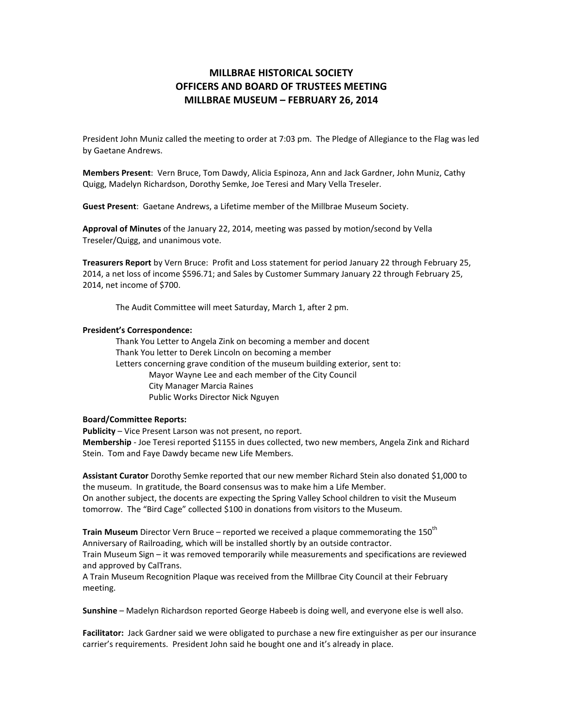# MILLBRAE HISTORICAL SOCIETY OFFICERS AND BOARD OF TRUSTEES MEETING MILLBRAE MUSEUM – FEBRUARY 26, 2014

President John Muniz called the meeting to order at 7:03 pm. The Pledge of Allegiance to the Flag was led by Gaetane Andrews.

Members Present: Vern Bruce, Tom Dawdy, Alicia Espinoza, Ann and Jack Gardner, John Muniz, Cathy Quigg, Madelyn Richardson, Dorothy Semke, Joe Teresi and Mary Vella Treseler.

Guest Present: Gaetane Andrews, a Lifetime member of the Millbrae Museum Society.

Approval of Minutes of the January 22, 2014, meeting was passed by motion/second by Vella Treseler/Quigg, and unanimous vote.

Treasurers Report by Vern Bruce: Profit and Loss statement for period January 22 through February 25, 2014, a net loss of income \$596.71; and Sales by Customer Summary January 22 through February 25, 2014, net income of \$700.

The Audit Committee will meet Saturday, March 1, after 2 pm.

## President's Correspondence:

 Thank You Letter to Angela Zink on becoming a member and docent Thank You letter to Derek Lincoln on becoming a member Letters concerning grave condition of the museum building exterior, sent to: Mayor Wayne Lee and each member of the City Council City Manager Marcia Raines Public Works Director Nick Nguyen

# Board/Committee Reports:

Publicity – Vice Present Larson was not present, no report. Membership - Joe Teresi reported \$1155 in dues collected, two new members, Angela Zink and Richard Stein. Tom and Faye Dawdy became new Life Members.

Assistant Curator Dorothy Semke reported that our new member Richard Stein also donated \$1,000 to the museum. In gratitude, the Board consensus was to make him a Life Member. On another subject, the docents are expecting the Spring Valley School children to visit the Museum

tomorrow. The "Bird Cage" collected \$100 in donations from visitors to the Museum.

Train Museum Director Vern Bruce – reported we received a plaque commemorating the  $150<sup>th</sup>$ Anniversary of Railroading, which will be installed shortly by an outside contractor.

Train Museum Sign – it was removed temporarily while measurements and specifications are reviewed and approved by CalTrans.

A Train Museum Recognition Plaque was received from the Millbrae City Council at their February meeting.

Sunshine – Madelyn Richardson reported George Habeeb is doing well, and everyone else is well also.

Facilitator: Jack Gardner said we were obligated to purchase a new fire extinguisher as per our insurance carrier's requirements. President John said he bought one and it's already in place.